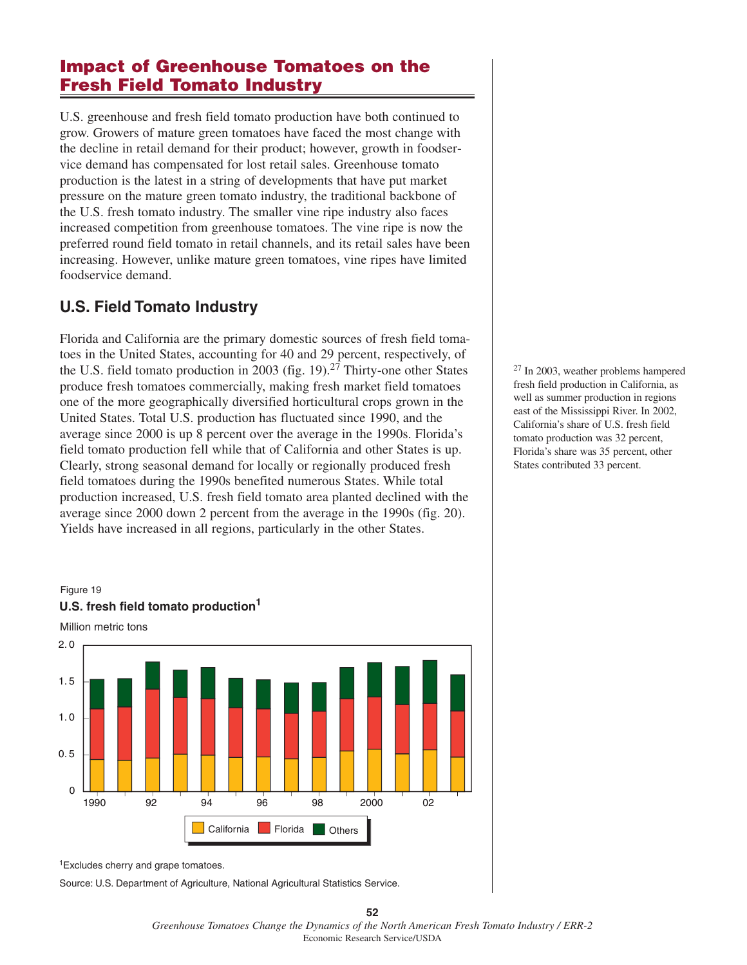# **Impact of Greenhouse Tomatoes on the Fresh Field Tomato Industry**

U.S. greenhouse and fresh field tomato production have both continued to grow. Growers of mature green tomatoes have faced the most change with the decline in retail demand for their product; however, growth in foodservice demand has compensated for lost retail sales. Greenhouse tomato production is the latest in a string of developments that have put market pressure on the mature green tomato industry, the traditional backbone of the U.S. fresh tomato industry. The smaller vine ripe industry also faces increased competition from greenhouse tomatoes. The vine ripe is now the preferred round field tomato in retail channels, and its retail sales have been increasing. However, unlike mature green tomatoes, vine ripes have limited foodservice demand.

# **U.S. Field Tomato Industry**

Florida and California are the primary domestic sources of fresh field tomatoes in the United States, accounting for 40 and 29 percent, respectively, of the U.S. field tomato production in 2003 (fig. 19).<sup>27</sup> Thirty-one other States produce fresh tomatoes commercially, making fresh market field tomatoes one of the more geographically diversified horticultural crops grown in the United States. Total U.S. production has fluctuated since 1990, and the average since 2000 is up 8 percent over the average in the 1990s. Florida's field tomato production fell while that of California and other States is up. Clearly, strong seasonal demand for locally or regionally produced fresh field tomatoes during the 1990s benefited numerous States. While total production increased, U.S. fresh field tomato area planted declined with the average since 2000 down 2 percent from the average in the 1990s (fig. 20). Yields have increased in all regions, particularly in the other States.





<sup>1</sup>Excludes cherry and grape tomatoes.

Source: U.S. Department of Agriculture, National Agricultural Statistics Service.

**52** *Greenhouse Tomatoes Change the Dynamics of the North American Fresh Tomato Industry / ERR-2* Economic Research Service/USDA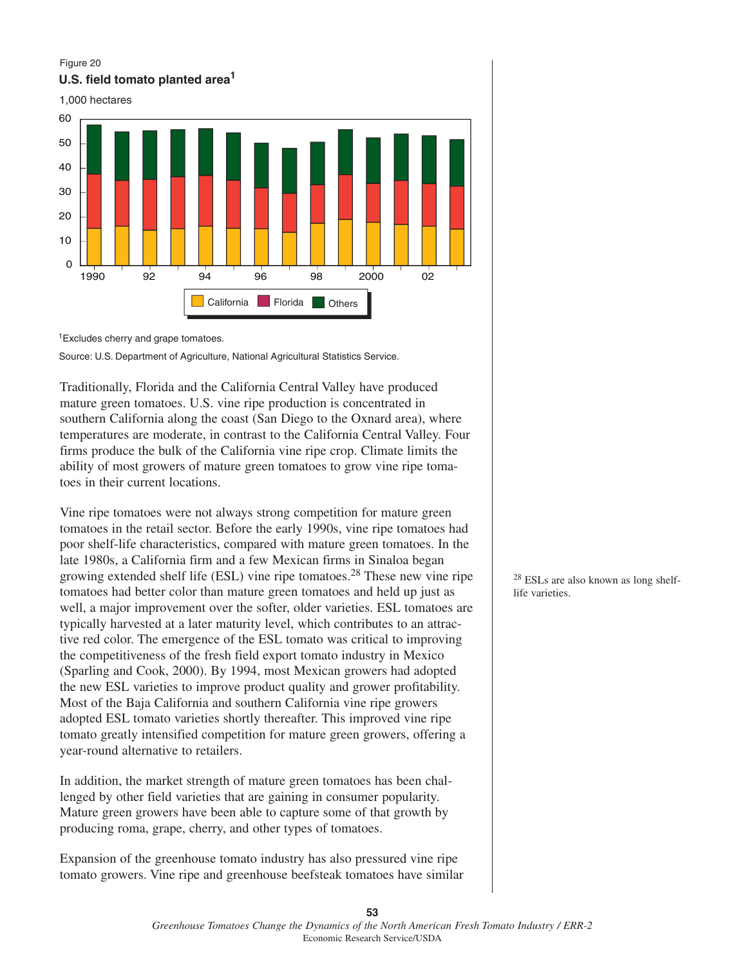#### Figure 20 **U.S. field tomato planted area1**



<sup>1</sup> Excludes cherry and grape tomatoes.

Source: U.S. Department of Agriculture, National Agricultural Statistics Service.

Traditionally, Florida and the California Central Valley have produced mature green tomatoes. U.S. vine ripe production is concentrated in southern California along the coast (San Diego to the Oxnard area), where temperatures are moderate, in contrast to the California Central Valley. Four firms produce the bulk of the California vine ripe crop. Climate limits the ability of most growers of mature green tomatoes to grow vine ripe tomatoes in their current locations.

Vine ripe tomatoes were not always strong competition for mature green tomatoes in the retail sector. Before the early 1990s, vine ripe tomatoes had poor shelf-life characteristics, compared with mature green tomatoes. In the late 1980s, a California firm and a few Mexican firms in Sinaloa began growing extended shelf life (ESL) vine ripe tomatoes.28 These new vine ripe tomatoes had better color than mature green tomatoes and held up just as well, a major improvement over the softer, older varieties. ESL tomatoes are typically harvested at a later maturity level, which contributes to an attractive red color. The emergence of the ESL tomato was critical to improving the competitiveness of the fresh field export tomato industry in Mexico (Sparling and Cook, 2000). By 1994, most Mexican growers had adopted the new ESL varieties to improve product quality and grower profitability. Most of the Baja California and southern California vine ripe growers adopted ESL tomato varieties shortly thereafter. This improved vine ripe tomato greatly intensified competition for mature green growers, offering a year-round alternative to retailers.

In addition, the market strength of mature green tomatoes has been challenged by other field varieties that are gaining in consumer popularity. Mature green growers have been able to capture some of that growth by producing roma, grape, cherry, and other types of tomatoes.

Expansion of the greenhouse tomato industry has also pressured vine ripe tomato growers. Vine ripe and greenhouse beefsteak tomatoes have similar <sup>28</sup> ESLs are also known as long shelflife varieties.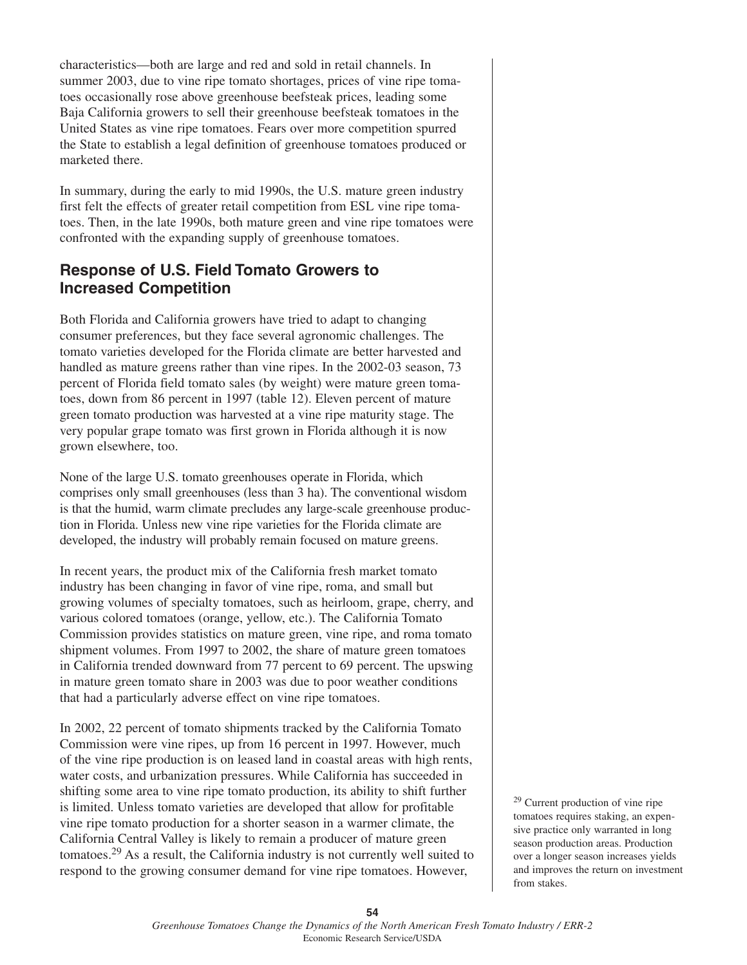characteristics—both are large and red and sold in retail channels. In summer 2003, due to vine ripe tomato shortages, prices of vine ripe tomatoes occasionally rose above greenhouse beefsteak prices, leading some Baja California growers to sell their greenhouse beefsteak tomatoes in the United States as vine ripe tomatoes. Fears over more competition spurred the State to establish a legal definition of greenhouse tomatoes produced or marketed there.

In summary, during the early to mid 1990s, the U.S. mature green industry first felt the effects of greater retail competition from ESL vine ripe tomatoes. Then, in the late 1990s, both mature green and vine ripe tomatoes were confronted with the expanding supply of greenhouse tomatoes.

# **Response of U.S. Field Tomato Growers to Increased Competition**

Both Florida and California growers have tried to adapt to changing consumer preferences, but they face several agronomic challenges. The tomato varieties developed for the Florida climate are better harvested and handled as mature greens rather than vine ripes. In the 2002-03 season, 73 percent of Florida field tomato sales (by weight) were mature green tomatoes, down from 86 percent in 1997 (table 12). Eleven percent of mature green tomato production was harvested at a vine ripe maturity stage. The very popular grape tomato was first grown in Florida although it is now grown elsewhere, too.

None of the large U.S. tomato greenhouses operate in Florida, which comprises only small greenhouses (less than 3 ha). The conventional wisdom is that the humid, warm climate precludes any large-scale greenhouse production in Florida. Unless new vine ripe varieties for the Florida climate are developed, the industry will probably remain focused on mature greens.

In recent years, the product mix of the California fresh market tomato industry has been changing in favor of vine ripe, roma, and small but growing volumes of specialty tomatoes, such as heirloom, grape, cherry, and various colored tomatoes (orange, yellow, etc.). The California Tomato Commission provides statistics on mature green, vine ripe, and roma tomato shipment volumes. From 1997 to 2002, the share of mature green tomatoes in California trended downward from 77 percent to 69 percent. The upswing in mature green tomato share in 2003 was due to poor weather conditions that had a particularly adverse effect on vine ripe tomatoes.

In 2002, 22 percent of tomato shipments tracked by the California Tomato Commission were vine ripes, up from 16 percent in 1997. However, much of the vine ripe production is on leased land in coastal areas with high rents, water costs, and urbanization pressures. While California has succeeded in shifting some area to vine ripe tomato production, its ability to shift further is limited. Unless tomato varieties are developed that allow for profitable vine ripe tomato production for a shorter season in a warmer climate, the California Central Valley is likely to remain a producer of mature green tomatoes.29 As a result, the California industry is not currently well suited to respond to the growing consumer demand for vine ripe tomatoes. However,

<sup>29</sup> Current production of vine ripe tomatoes requires staking, an expensive practice only warranted in long season production areas. Production over a longer season increases yields and improves the return on investment from stakes.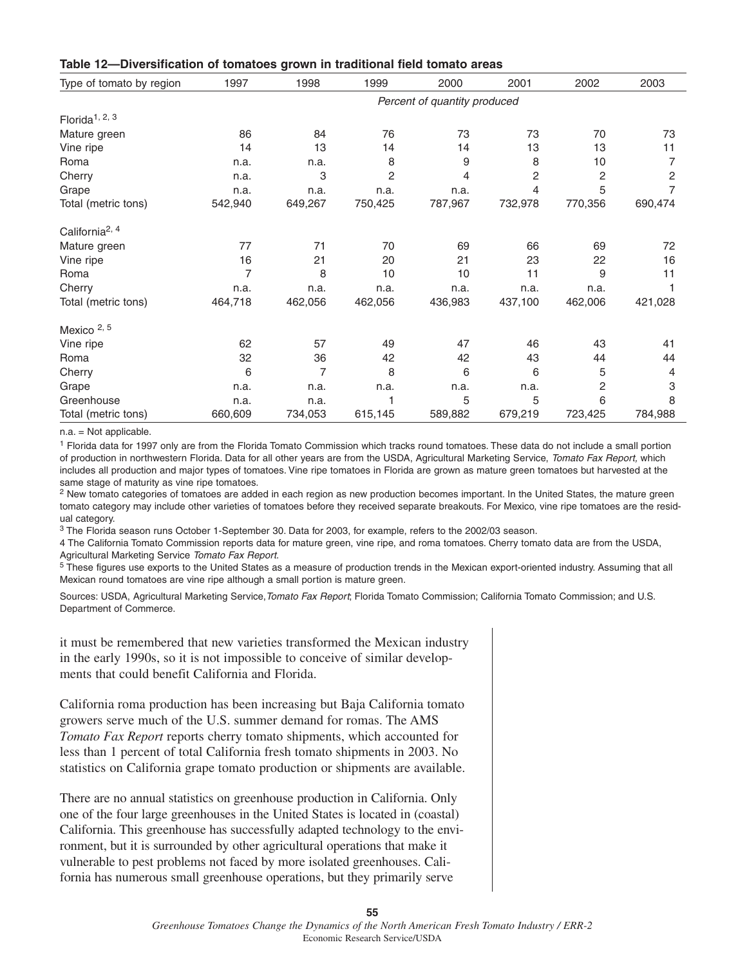| Table 12-Diversification of tomatoes grown in traditional field tomato areas |  |  |  |  |  |
|------------------------------------------------------------------------------|--|--|--|--|--|
|------------------------------------------------------------------------------|--|--|--|--|--|

| Type of tomato by region                | 1997                         | 1998    | 1999           | 2000    | 2001    | 2002    | 2003           |  |  |  |  |
|-----------------------------------------|------------------------------|---------|----------------|---------|---------|---------|----------------|--|--|--|--|
|                                         | Percent of quantity produced |         |                |         |         |         |                |  |  |  |  |
| Florida <sup><math>1, 2, 3</math></sup> |                              |         |                |         |         |         |                |  |  |  |  |
| Mature green                            | 86                           | 84      | 76             | 73      | 73      | 70      | 73             |  |  |  |  |
| Vine ripe                               | 14                           | 13      | 14             | 14      | 13      | 13      | 11             |  |  |  |  |
| Roma                                    | n.a.                         | n.a.    | 8              | 9       | 8       | 10      | 7              |  |  |  |  |
| Cherry                                  | n.a.                         | 3       | $\overline{c}$ | 4       | 2       | 2       | $\overline{c}$ |  |  |  |  |
| Grape                                   | n.a.                         | n.a.    | n.a.           | n.a.    | 4       | 5       |                |  |  |  |  |
| Total (metric tons)                     | 542,940                      | 649,267 | 750,425        | 787,967 | 732,978 | 770,356 | 690,474        |  |  |  |  |
| California <sup>2, 4</sup>              |                              |         |                |         |         |         |                |  |  |  |  |
| Mature green                            | 77                           | 71      | 70             | 69      | 66      | 69      | 72             |  |  |  |  |
| Vine ripe                               | 16                           | 21      | 20             | 21      | 23      | 22      | 16             |  |  |  |  |
| Roma                                    | $\overline{7}$               | 8       | 10             | 10      | 11      | 9       | 11             |  |  |  |  |
| Cherry                                  | n.a.                         | n.a.    | n.a.           | n.a.    | n.a.    | n.a.    |                |  |  |  |  |
| Total (metric tons)                     | 464,718                      | 462,056 | 462,056        | 436,983 | 437,100 | 462,006 | 421,028        |  |  |  |  |
| Mexico <sup>2, 5</sup>                  |                              |         |                |         |         |         |                |  |  |  |  |
| Vine ripe                               | 62                           | 57      | 49             | 47      | 46      | 43      | 41             |  |  |  |  |
| Roma                                    | 32                           | 36      | 42             | 42      | 43      | 44      | 44             |  |  |  |  |
| Cherry                                  | 6                            | 7       | 8              | 6       | 6       | 5       | 4              |  |  |  |  |
| Grape                                   | n.a.                         | n.a.    | n.a.           | n.a.    | n.a.    | 2       | 3              |  |  |  |  |
| Greenhouse                              | n.a.                         | n.a.    |                | 5       | 5       | 6       | 8              |  |  |  |  |
| Total (metric tons)                     | 660,609                      | 734,053 | 615,145        | 589,882 | 679,219 | 723,425 | 784,988        |  |  |  |  |

 $n.a. = Not applicable.$ 

<sup>1</sup> Florida data for 1997 only are from the Florida Tomato Commission which tracks round tomatoes. These data do not include a small portion of production in northwestern Florida. Data for all other years are from the USDA, Agricultural Marketing Service, Tomato Fax Report, which includes all production and major types of tomatoes. Vine ripe tomatoes in Florida are grown as mature green tomatoes but harvested at the same stage of maturity as vine ripe tomatoes.

 $2$  New tomato categories of tomatoes are added in each region as new production becomes important. In the United States, the mature green tomato category may include other varieties of tomatoes before they received separate breakouts. For Mexico, vine ripe tomatoes are the residual category.

<sup>3</sup> The Florida season runs October 1-September 30. Data for 2003, for example, refers to the 2002/03 season.

4 The California Tomato Commission reports data for mature green, vine ripe, and roma tomatoes. Cherry tomato data are from the USDA, Agricultural Marketing Service Tomato Fax Report.

<sup>5</sup> These figures use exports to the United States as a measure of production trends in the Mexican export-oriented industry. Assuming that all Mexican round tomatoes are vine ripe although a small portion is mature green.

Sources: USDA, Agricultural Marketing Service, Tomato Fax Report; Florida Tomato Commission; California Tomato Commission; and U.S. Department of Commerce.

it must be remembered that new varieties transformed the Mexican industry in the early 1990s, so it is not impossible to conceive of similar developments that could benefit California and Florida.

California roma production has been increasing but Baja California tomato growers serve much of the U.S. summer demand for romas. The AMS *Tomato Fax Report* reports cherry tomato shipments, which accounted for less than 1 percent of total California fresh tomato shipments in 2003. No statistics on California grape tomato production or shipments are available.

There are no annual statistics on greenhouse production in California. Only one of the four large greenhouses in the United States is located in (coastal) California. This greenhouse has successfully adapted technology to the environment, but it is surrounded by other agricultural operations that make it vulnerable to pest problems not faced by more isolated greenhouses. California has numerous small greenhouse operations, but they primarily serve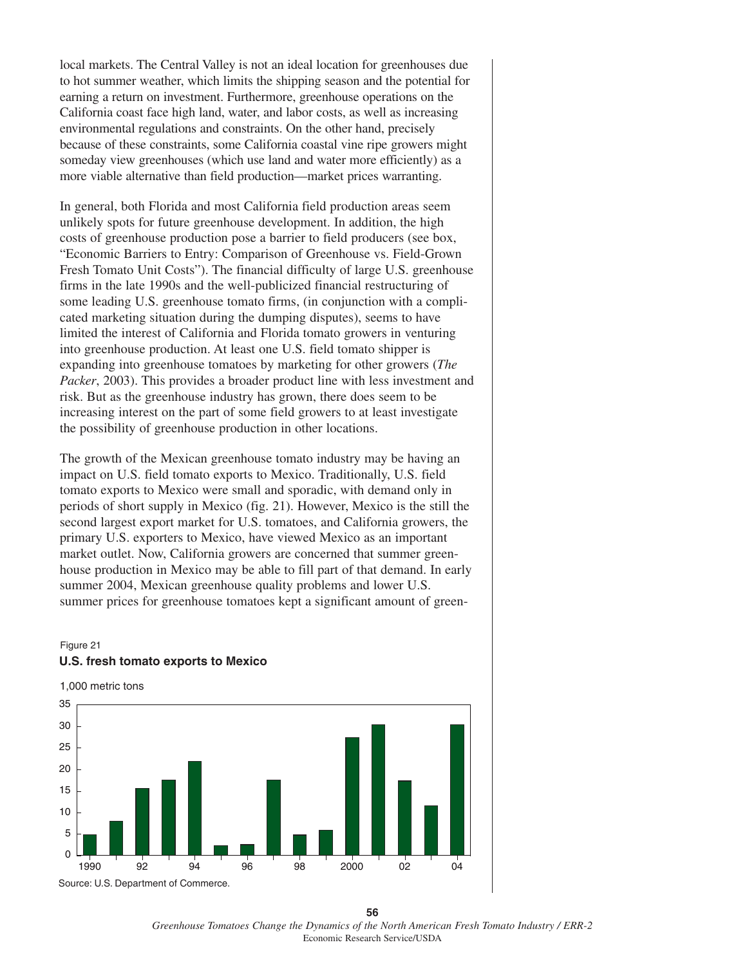local markets. The Central Valley is not an ideal location for greenhouses due to hot summer weather, which limits the shipping season and the potential for earning a return on investment. Furthermore, greenhouse operations on the California coast face high land, water, and labor costs, as well as increasing environmental regulations and constraints. On the other hand, precisely because of these constraints, some California coastal vine ripe growers might someday view greenhouses (which use land and water more efficiently) as a more viable alternative than field production—market prices warranting.

In general, both Florida and most California field production areas seem unlikely spots for future greenhouse development. In addition, the high costs of greenhouse production pose a barrier to field producers (see box, "Economic Barriers to Entry: Comparison of Greenhouse vs. Field-Grown Fresh Tomato Unit Costs"). The financial difficulty of large U.S. greenhouse firms in the late 1990s and the well-publicized financial restructuring of some leading U.S. greenhouse tomato firms, (in conjunction with a complicated marketing situation during the dumping disputes), seems to have limited the interest of California and Florida tomato growers in venturing into greenhouse production. At least one U.S. field tomato shipper is expanding into greenhouse tomatoes by marketing for other growers (*The Packer*, 2003). This provides a broader product line with less investment and risk. But as the greenhouse industry has grown, there does seem to be increasing interest on the part of some field growers to at least investigate the possibility of greenhouse production in other locations.

The growth of the Mexican greenhouse tomato industry may be having an impact on U.S. field tomato exports to Mexico. Traditionally, U.S. field tomato exports to Mexico were small and sporadic, with demand only in periods of short supply in Mexico (fig. 21). However, Mexico is the still the second largest export market for U.S. tomatoes, and California growers, the primary U.S. exporters to Mexico, have viewed Mexico as an important market outlet. Now, California growers are concerned that summer greenhouse production in Mexico may be able to fill part of that demand. In early summer 2004, Mexican greenhouse quality problems and lower U.S. summer prices for greenhouse tomatoes kept a significant amount of green-

#### Figure 21 **U.S. fresh tomato exports to Mexico**

1,000 metric tons Source: U.S. Department of Commerce. 1990 92 94 96 98 2000 02 04  $\Omega$ 5 10 15 20 25 30 35

**56** *Greenhouse Tomatoes Change the Dynamics of the North American Fresh Tomato Industry / ERR-2* Economic Research Service/USDA